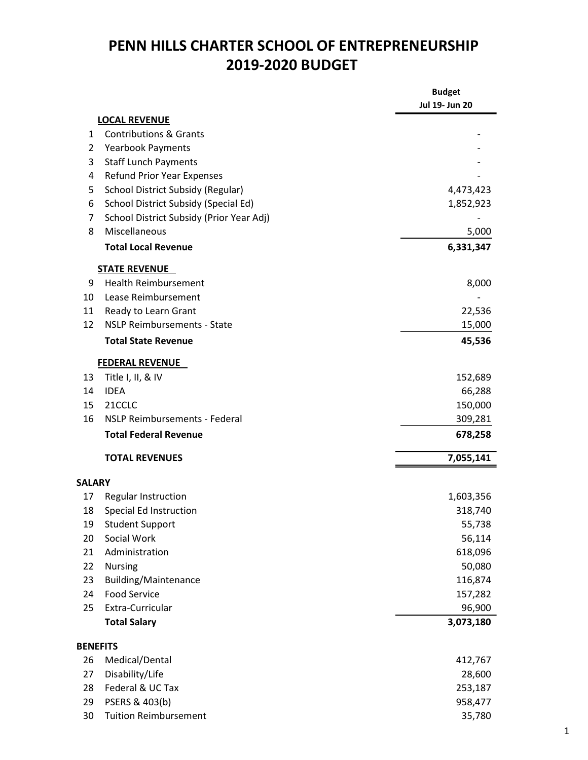## PENN HILLS CHARTER SCHOOL OF ENTREPRENEURSHIP 2019-2020 BUDGET

|                 |                                          | <b>Budget</b><br>Jul 19- Jun 20 |
|-----------------|------------------------------------------|---------------------------------|
|                 | <b>LOCAL REVENUE</b>                     |                                 |
| 1               | <b>Contributions &amp; Grants</b>        |                                 |
| 2               | <b>Yearbook Payments</b>                 |                                 |
| 3               | <b>Staff Lunch Payments</b>              |                                 |
| 4               | <b>Refund Prior Year Expenses</b>        |                                 |
| 5               | School District Subsidy (Regular)        | 4,473,423                       |
| 6               | School District Subsidy (Special Ed)     | 1,852,923                       |
| 7               | School District Subsidy (Prior Year Adj) |                                 |
| 8               | Miscellaneous                            | 5,000                           |
|                 | <b>Total Local Revenue</b>               | 6,331,347                       |
|                 | <b>STATE REVENUE</b>                     |                                 |
| 9               | <b>Health Reimbursement</b>              | 8,000                           |
| 10              | Lease Reimbursement                      |                                 |
| 11              | Ready to Learn Grant                     | 22,536                          |
| 12              | <b>NSLP Reimbursements - State</b>       | 15,000                          |
|                 | <b>Total State Revenue</b>               | 45,536                          |
|                 | <b>FEDERAL REVENUE</b>                   |                                 |
| 13              | Title I, II, & IV                        | 152,689                         |
| 14              | <b>IDEA</b>                              | 66,288                          |
| 15              | 21CCLC                                   | 150,000                         |
| 16              | <b>NSLP Reimbursements - Federal</b>     | 309,281                         |
|                 | <b>Total Federal Revenue</b>             | 678,258                         |
|                 | <b>TOTAL REVENUES</b>                    | 7,055,141                       |
| <b>SALARY</b>   |                                          |                                 |
| 17              | Regular Instruction                      | 1,603,356                       |
| 18              | Special Ed Instruction                   | 318,740                         |
| 19              | <b>Student Support</b>                   | 55,738                          |
| 20              | Social Work                              | 56,114                          |
| 21              | Administration                           | 618,096                         |
| 22              | <b>Nursing</b>                           | 50,080                          |
| 23              | <b>Building/Maintenance</b>              | 116,874                         |
| 24              | <b>Food Service</b>                      | 157,282                         |
| 25              | Extra-Curricular                         | 96,900                          |
|                 | <b>Total Salary</b>                      | 3,073,180                       |
| <b>BENEFITS</b> |                                          |                                 |
| 26              | Medical/Dental                           | 412,767                         |
| 27              | Disability/Life                          | 28,600                          |
| 28              | Federal & UC Tax                         | 253,187                         |
| 29              | PSERS & 403(b)                           | 958,477                         |
| 30              | <b>Tuition Reimbursement</b>             | 35,780                          |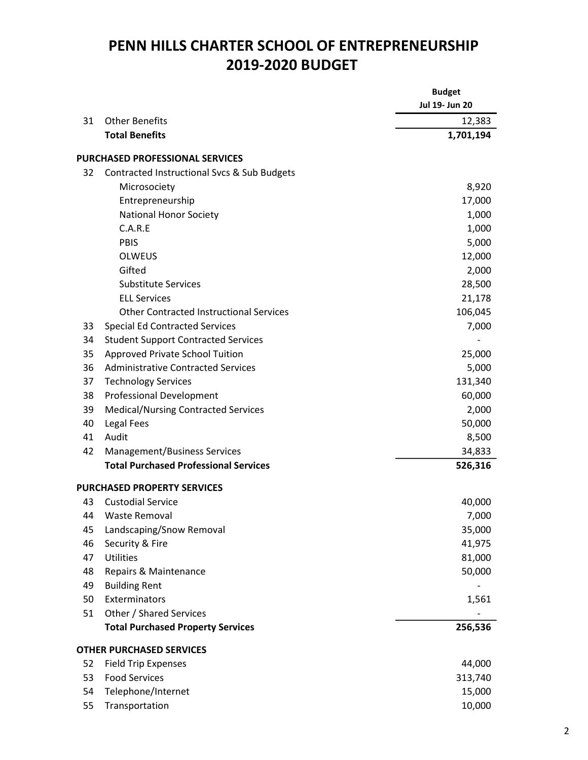## PENN HILLS CHARTER SCHOOL OF ENTREPRENEURSHIP 2019-2020 BUDGET

|    |                                                | <b>Budget</b>  |
|----|------------------------------------------------|----------------|
|    |                                                | Jul 19- Jun 20 |
| 31 | <b>Other Benefits</b>                          | 12,383         |
|    | <b>Total Benefits</b>                          | 1,701,194      |
|    | <b>PURCHASED PROFESSIONAL SERVICES</b>         |                |
| 32 | Contracted Instructional Svcs & Sub Budgets    |                |
|    | Microsociety                                   | 8,920          |
|    | Entrepreneurship                               | 17,000         |
|    | <b>National Honor Society</b>                  | 1,000          |
|    | C.A.R.E                                        | 1,000          |
|    | <b>PBIS</b>                                    | 5,000          |
|    | <b>OLWEUS</b>                                  | 12,000         |
|    | Gifted                                         | 2,000          |
|    | <b>Substitute Services</b>                     | 28,500         |
|    | <b>ELL Services</b>                            | 21,178         |
|    | <b>Other Contracted Instructional Services</b> | 106,045        |
| 33 | <b>Special Ed Contracted Services</b>          | 7,000          |
| 34 | <b>Student Support Contracted Services</b>     |                |
| 35 | Approved Private School Tuition                | 25,000         |
| 36 | <b>Administrative Contracted Services</b>      | 5,000          |
| 37 | <b>Technology Services</b>                     | 131,340        |
| 38 | <b>Professional Development</b>                | 60,000         |
| 39 | <b>Medical/Nursing Contracted Services</b>     | 2,000          |
| 40 | Legal Fees                                     | 50,000         |
| 41 | Audit                                          | 8,500          |
| 42 | <b>Management/Business Services</b>            | 34,833         |
|    | <b>Total Purchased Professional Services</b>   | 526,316        |
|    | <b>PURCHASED PROPERTY SERVICES</b>             |                |
| 43 | <b>Custodial Service</b>                       | 40,000         |
| 44 | <b>Waste Removal</b>                           | 7,000          |
| 45 | Landscaping/Snow Removal                       | 35,000         |
| 46 | Security & Fire                                | 41,975         |
| 47 | <b>Utilities</b>                               | 81,000         |
| 48 | Repairs & Maintenance                          | 50,000         |
| 49 | <b>Building Rent</b>                           |                |
| 50 | Exterminators                                  | 1,561          |
| 51 | Other / Shared Services                        |                |
|    | <b>Total Purchased Property Services</b>       | 256,536        |
|    | <b>OTHER PURCHASED SERVICES</b>                |                |
| 52 | <b>Field Trip Expenses</b>                     | 44,000         |
| 53 | <b>Food Services</b>                           | 313,740        |
| 54 | Telephone/Internet                             | 15,000         |
| 55 | Transportation                                 | 10,000         |